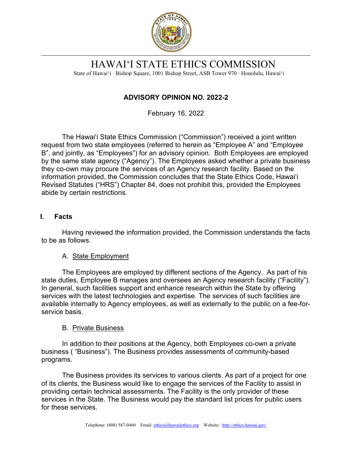

HAWAI'I STATE ETHICS COMMISSION

State of Hawai'i ∙ Bishop Square, 1001 Bishop Street, ASB Tower 970 ∙ Honolulu, Hawai'i

# **ADVISORY OPINION NO. 2022-2**

February 16, 2022

The Hawai'i State Ethics Commission ("Commission") received a joint written request from two state employees (referred to herein as "Employee A" and "Employee B", and jointly, as "Employees") for an advisory opinion. Both Employees are employed by the same state agency ("Agency"). The Employees asked whether a private business they co-own may procure the services of an Agency research facility. Based on the information provided, the Commission concludes that the State Ethics Code, Hawai'i Revised Statutes ("HRS") Chapter 84, does not prohibit this, provided the Employees abide by certain restrictions.

# **I. Facts**

Having reviewed the information provided, the Commission understands the facts to be as follows.

# A. State Employment

The Employees are employed by different sections of the Agency. As part of his state duties, Employee B manages and oversees an Agency research facility ("Facility"). In general, such facilities support and enhance research within the State by offering services with the latest technologies and expertise. The services of such facilities are available internally to Agency employees, as well as externally to the public on a fee-forservice basis.

#### B. Private Business

In addition to their positions at the Agency, both Employees co-own a private business ( "Business"). The Business provides assessments of community-based programs.

The Business provides its services to various clients. As part of a project for one of its clients, the Business would like to engage the services of the Facility to assist in providing certain technical assessments. The Facility is the only provider of these services in the State. The Business would pay the standard list prices for public users for these services.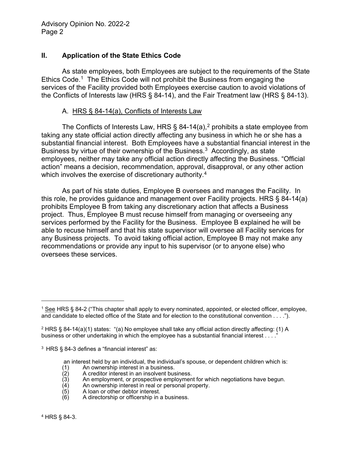## **II. Application of the State Ethics Code**

As state employees, both Employees are subject to the requirements of the State Ethics Code.<sup>1</sup> The Ethics Code will not prohibit the Business from engaging the services of the Facility provided both Employees exercise caution to avoid violations of the Conflicts of Interests law (HRS § 84-14), and the Fair Treatment law (HRS § 84-13).

#### A. HRS § 84-14(a), Conflicts of Interests Law

The Conflicts of Interests Law, HRS  $\S$  84-14(a),<sup>[2](#page-1-1)</sup> prohibits a state employee from taking any state official action directly affecting any business in which he or she has a substantial financial interest. Both Employees have a substantial financial interest in the Business by virtue of their ownership of the Business. [3](#page-1-2) Accordingly, as state employees, neither may take any official action directly affecting the Business. "Official action" means a decision, recommendation, approval, disapproval, or any other action which involves the exercise of discretionary authority.<sup>[4](#page-1-3)</sup>

As part of his state duties, Employee B oversees and manages the Facility. In this role, he provides guidance and management over Facility projects. HRS § 84-14(a) prohibits Employee B from taking any discretionary action that affects a Business project. Thus, Employee B must recuse himself from managing or overseeing any services performed by the Facility for the Business. Employee B explained he will be able to recuse himself and that his state supervisor will oversee all Facility services for any Business projects. To avoid taking official action, Employee B may not make any recommendations or provide any input to his supervisor (or to anyone else) who oversees these services.

an interest held by an individual, the individual's spouse, or dependent children which is:

- (1) An ownership interest in a business.<br>
(2) A creditor interest in an insolvent bus<br>
(3) An employment, or prospective empl<br>
(4) An ownership interest in real or perse<br>
(5) A loan or other debtor interest.
- A creditor interest in an insolvent business.
- An employment, or prospective employment for which negotiations have begun.
- An ownership interest in real or personal property.
- $(5)$  A loan or other debtor interest.<br>(6) A directorship or officership in a
- A directorship or officership in a business.

<span id="page-1-3"></span><sup>4</sup> HRS § 84-3.

<span id="page-1-0"></span><sup>&</sup>lt;sup>1</sup> See HRS § 84-2 ("This chapter shall apply to every nominated, appointed, or elected officer, employee, and candidate to elected office of the State and for election to the constitutional convention . . . .").

<span id="page-1-1"></span><sup>2</sup> HRS § 84-14(a)(1) states: "(a) No employee shall take any official action directly affecting: (1) A business or other undertaking in which the employee has a substantial financial interest . . . ."

<span id="page-1-2"></span><sup>3</sup> HRS § 84-3 defines a "financial interest" as: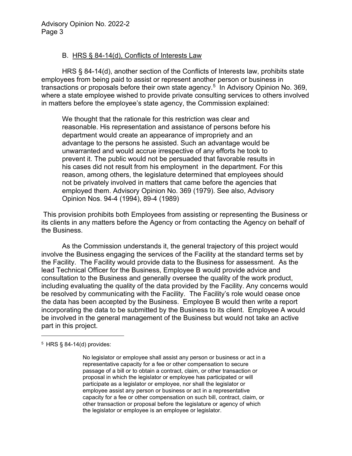## B. HRS § 84-14(d), Conflicts of Interests Law

HRS § 84-14(d), another section of the Conflicts of Interests law, prohibits state employees from being paid to assist or represent another person or business in transactions or proposals before their own state agency.<sup>[5](#page-2-0)</sup> In Advisory Opinion No. 369, where a state employee wished to provide private consulting services to others involved in matters before the employee's state agency, the Commission explained:

We thought that the rationale for this restriction was clear and reasonable. His representation and assistance of persons before his department would create an appearance of impropriety and an advantage to the persons he assisted. Such an advantage would be unwarranted and would accrue irrespective of any efforts he took to prevent it. The public would not be persuaded that favorable results in his cases did not result from his employment in the department. For this reason, among others, the legislature determined that employees should not be privately involved in matters that came before the agencies that employed them. Advisory Opinion No. 369 (1979). See also, Advisory Opinion Nos. 94-4 (1994), 89-4 (1989)

This provision prohibits both Employees from assisting or representing the Business or its clients in any matters before the Agency or from contacting the Agency on behalf of the Business.

As the Commission understands it, the general trajectory of this project would involve the Business engaging the services of the Facility at the standard terms set by the Facility. The Facility would provide data to the Business for assessment. As the lead Technical Officer for the Business, Employee B would provide advice and consultation to the Business and generally oversee the quality of the work product, including evaluating the quality of the data provided by the Facility. Any concerns would be resolved by communicating with the Facility. The Facility's role would cease once the data has been accepted by the Business. Employee B would then write a report incorporating the data to be submitted by the Business to its client. Employee A would be involved in the general management of the Business but would not take an active part in this project.

No legislator or employee shall assist any person or business or act in a representative capacity for a fee or other compensation to secure passage of a bill or to obtain a contract, claim, or other transaction or proposal in which the legislator or employee has participated or will participate as a legislator or employee, nor shall the legislator or employee assist any person or business or act in a representative capacity for a fee or other compensation on such bill, contract, claim, or other transaction or proposal before the legislature or agency of which the legislator or employee is an employee or legislator.

<span id="page-2-0"></span><sup>5</sup> HRS § 84-14(d) provides: